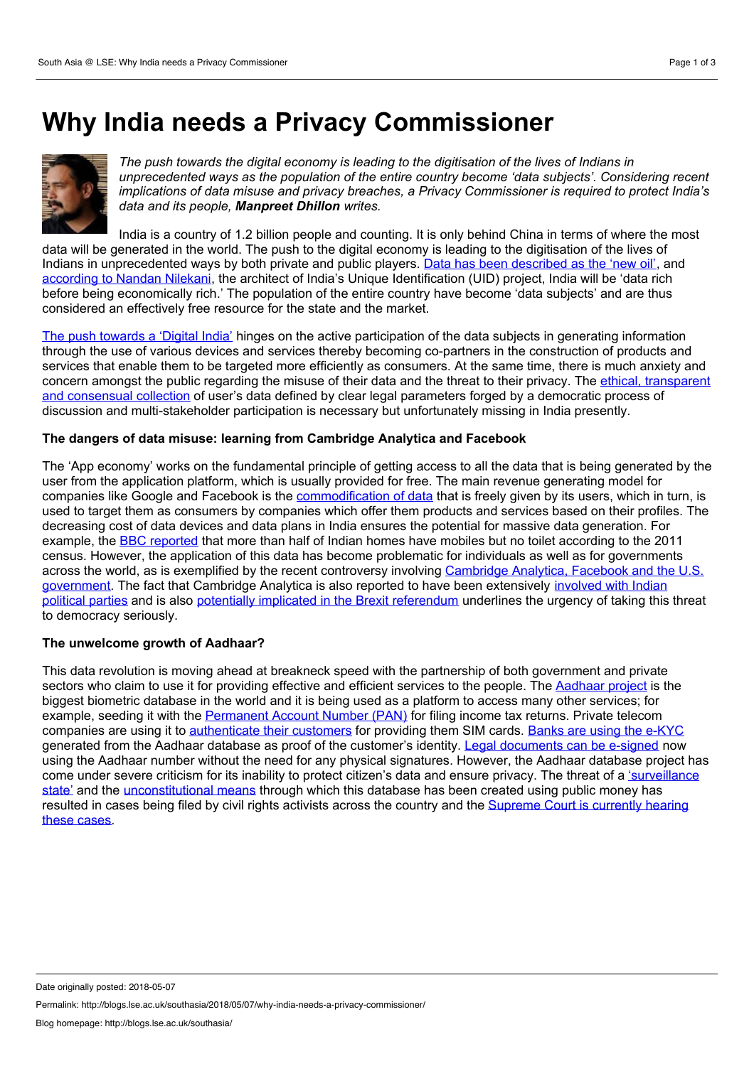# **Why India needs a Privacy Commissioner**



*The push towards the digital economy is leading to the digitisation of the lives of Indians in unprecedented ways as the population of the entire country become 'data subjects'. Considering recent implications of data misuse and privacy breaches, a Privacy Commissioner is required to protect India's data and its people, Manpreet Dhillon writes.*

India is a country of 1.2 billion people and counting. It is only behind China in terms of where the most data will be generated in the world. The push to the digital economy is leading to the digitisation of the lives of Indians in unprecedented ways by both private and public players. Data has been [described](https://www.moneycontrol.com/news/business/companies/india-will-become-data-rich-before-becoming-economically-rich-nandan-nilekani-uidai-2339183.html) as the 'new oil', and [according](https://www.moneycontrol.com/news/business/companies/india-will-become-data-rich-before-becoming-economically-rich-nandan-nilekani-uidai-2339183.html) to Nandan Nilekani, the architect of India's Unique Identification (UID) project, India will be 'data rich before being economically rich.' The population of the entire country have become 'data subjects' and are thus considered an effectively free resource for the state and the market.

The push [towards](http://digitalindia.gov.in/) a 'Digital India' hinges on the active participation of the data subjects in generating information through the use of various devices and services thereby becoming co-partners in the construction of products and services that enable them to be targeted more efficiently as consumers. At the same time, there is much anxiety and concern amongst the public regarding the misuse of their data and the threat to their privacy. The ethical, transparent and [consensual](http://rsta.royalsocietypublishing.org/content/374/2083) collection of user's data defined by clear legal parameters forged by a democratic process of discussion and multi-stakeholder participation is necessary but unfortunately missing in India presently.

## **The dangers of data misuse: learning from Cambridge Analytica and Facebook**

The 'App economy' works on the fundamental principle of getting access to all the data that is being generated by the user from the application platform, which is usually provided for free. The main revenue generating model for companies like Google and Facebook is the [commodification](https://www.pcworld.com/article/2986988/privacy/the-price-of-free-how-apple-facebook-microsoft-and-google-sell-you-to-advertisers.html) of data that is freely given by its users, which in turn, is used to target them as consumers by companies which offer them products and services based on their profiles. The decreasing cost of data devices and data plans in India ensures the potential for massive data generation. For example, the BBC [reported](http://www.bbc.com/news/world-asia-india-17362837) that more than half of Indian homes have mobiles but no toilet according to the 2011 census. However, the application of this data has become problematic for individuals as well as for governments across the world, as is exemplified by the recent controversy involving Cambridge Analytica, Facebook and the U.S. [government.](https://www.indiatoday.in/technology/news/story/facebook-data-leak-cambridge-analytica-worked-extensively-in-india-says-whistleblower-christopher-wylie-1198959-2018-03-27) The fact that Cambridge Analytica is also reported to have been extensively involved with Indian political parties and is also potentially implicated in the Brexit [referendum](https://www.theguardian.com/politics/2018/mar/26/pressure-grows-on-pm-over-brexit-cambridge-analytica-scandal-theresa-may) underlines the urgency of taking this threat to democracy seriously.

## **The unwelcome growth of Aadhaar?**

This data revolution is moving ahead at breakneck speed with the partnership of both government and private sectors who claim to use it for providing effective and efficient services to the people. The [Aadhaar](https://uidai.gov.in/) project is the biggest biometric database in the world and it is being used as a platform to access many other services; for example, seeding it with the [Permanent](https://economictimes.indiatimes.com/news/politics-and-nation/16-65-crore-pan-87-79-crore-bank-accounts-linked-to-aadhaar-government/articleshow/63233043.cms) Account Number (PAN) for filing income tax returns. Private telecom companies are using it to [authenticate](https://economictimes.indiatimes.com/news/politics-and-nation/supreme-court-never-directed-aadhaar-mobile-number-linkage/articleshow/63921063.cms) their customers for providing them SIM cards. Banks are using the [e-KYC](https://www.msn.com/en-in/news/other/till-sc-order-rbi-makes-aadhaar-mandatory-for-kyc/ar-AAw9SEh) generated from the Aadhaar database as proof of the customer's identity. Legal [documents](https://in.news.yahoo.com/legal-portal-offers-e-sign-aadhaar-platform-172603841.html) can be e-signed now using the Aadhaar number without the need for any physical signatures. However, the Aadhaar database project has come under severe criticism for its inability to protect citizen's data and ensure privacy. The threat of a 'surveillance state' and the [unconstitutional](https://www.hindustantimes.com/opinion/aadhaar-from-compiling-a-govt-database-to-creating-a-surveillance-society/story-Jj36c6tVyHJMjOhCI8vnBN.html) means through which this database has been created using public money has resulted in cases being filed by civil rights activists across the country and the [Supreme](https://amielegal.com/news/snippets-legal-news-india/1123-aadhaar-case-hearing-day-34) Court is currently hearing these cases.

Permalink: http://blogs.lse.ac.uk/southasia/2018/05/07/why-india-needs-a-privacy-commissioner/

Date originally posted: 2018-05-07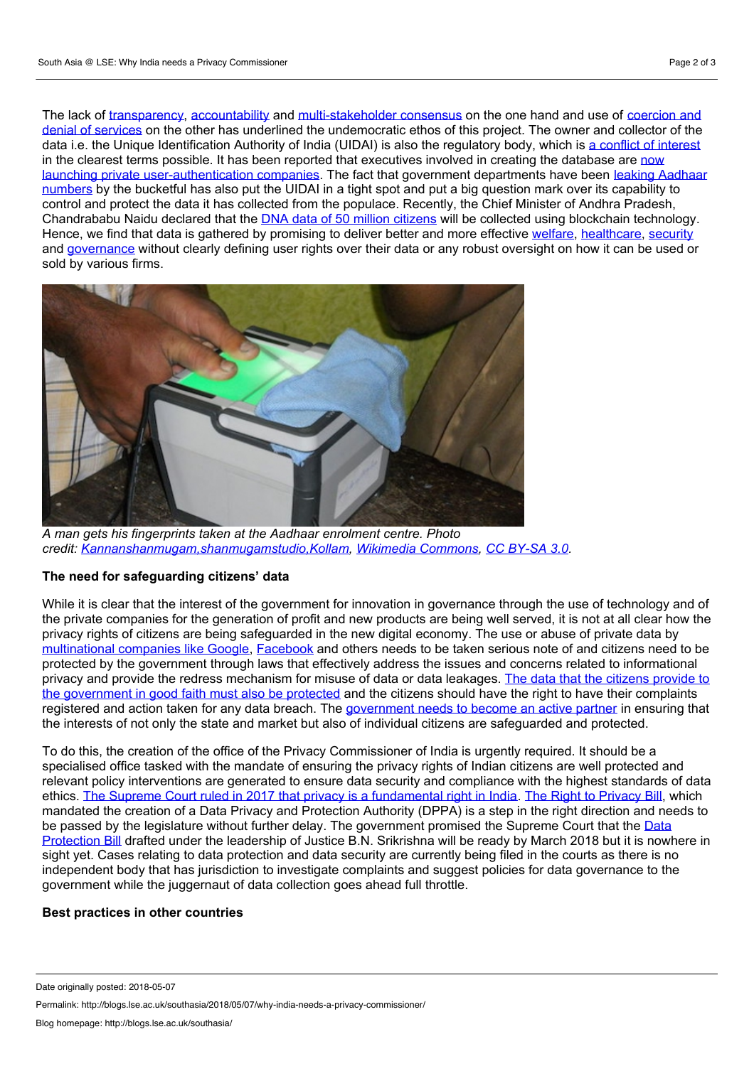The lack of [transparency](http://www.thehindu.com/news/national/aadhaar-card-projects-over-rs13000-crore-awarded-without-tenders/article7668321.ece#!), [accountability](https://scroll.in/article/833060/how-efficient-is-aadhaar-theres-no-way-to-know-as-the-government-wont-tell) and [multi-stakeholder](https://www.ncbi.nlm.nih.gov/pmc/articles/PMC5741784/) consensus on the one hand and use of coercion and denial of services on the other has underlined the undemocratic ethos of this project. The owner and collector of the data i.e. the Unique Identification Authority of India (UIDAI) is also the regulatory body, which is a conflict of [interest](https://www.livemint.com/Opinion/S6Ep52qB9PK1DRLFUbUDBK/The-curious-case-of-FIR-by-the-UIDAI.html) in the clearest terms possible. It has been reported that executives involved in creating the database are now launching private [user-authentication](https://www.livemint.com/Opinion/S6Ep52qB9PK1DRLFUbUDBK/The-curious-case-of-FIR-by-the-UIDAI.html) companies. The fact that government departments have been leaking Aadhaar numbers by the bucketful has also put the UIDAI in a tight spot and put a big question mark over its capability to control and protect the data it has collected from the populace. Recently, the Chief Minister of Andhra Pradesh, Chandrababu Naidu declared that the DNA data of 50 million [citizens](https://scroll.in/article/874999/the-andhra-pradesh-government-plans-to-use-blockchain-to-collect-dna-data-of-50-million-citizens) will be collected using blockchain technology. Hence, we find that data is gathered by promising to deliver better and more effective [welfare,](https://www.hindustantimes.com/opinion/aadhaar-in-welfare-is-pain-without-gain/story-HT8yBPN67QsqiAxFRh1b7I.html) [healthcare](https://health.economictimes.indiatimes.com/news/health-it/can-big-data-help-reduce-indias-burden-of-healthcare-costs/60374868), [security](https://www.livemint.com/Politics/PMvENttbnn2bCjUaUjB4YK/Curbing-terrorism-black-money-legitimate-state-interest-i.html) and [governance](https://timesofindia.indiatimes.com/india/aadhaar-one-of-measures-to-tackle-corruption-black-money-supreme-court/articleshow/59074954.cms) without clearly defining user rights over their data or any robust oversight on how it can be used or sold by various firms.



*A man gets his fingerprints taken at the Aadhaar enrolment centre. Photo credit: [Kannanshanmugam,shanmugamstudio,Kollam](https://commons.wikimedia.org/w/index.php?title=Fotokannan&action=edit&redlink=1), [Wikimedia](https://commons.wikimedia.org/wiki/Category:Unique_Identification_Authority_of_India#/media/File:Adhar_DSCN4545.JPG) Commons, CC [BY-SA](https://creativecommons.org/licenses/by-sa/3.0) 3.0.*

## **The need forsafeguarding citizens' data**

While it is clear that the interest of the government for innovation in governance through the use of technology and of the private companies for the generation of profit and new products are being well served, it is not at all clear how the privacy rights of citizens are being safeguarded in the new digital economy. The use or abuse of private data by [multinational](https://www.huffingtonpost.com/nathan-newman/why-googles-spying-on-use_b_3530296.html) companies like Google, [Facebook](http://time.com/4695/7-controversial-ways-facebook-has-used-your-data/) and others needs to be taken serious note of and citizens need to be protected by the government through laws that effectively address the issues and concerns related to informational privacy and provide the redress mechanism for misuse of data or data leakages. The data that the citizens provide to the [government](https://www.financialexpress.com/industry/technology/at-indian-express-thinc-data-protection-about-protecting-people/976192/) in good faith must also be protected and the citizens should have the right to have their complaints registered and action taken for any data breach. The [government](https://itpeernetwork.intel.com/governments-shifting-role-to-protect-citizens-in-the-digital-world/) needs to become an active partner in ensuring that the interests of not only the state and market but also of individual citizens are safeguarded and protected.

To do this, the creation of the office of the Privacy Commissioner of India is urgently required. It should be a specialised office tasked with the mandate of ensuring the privacy rights of Indian citizens are well protected and relevant policy interventions are generated to ensure data security and compliance with the highest standards of data ethics. The Supreme Court ruled in 2017 that privacy is a [fundamental](https://www.hindustantimes.com/india-news/supreme-court-rules-privacy-is-fundamental-right-here-s-full-text-of-the-judgment/story-Wheiu7B8nbgbqtJYT1KzkO.html) right in India. The Right to [Privacy](https://cis-india.org/internet-governance/blog/leaked-privacy-bill-2014-v-2011) Bill, which mandated the creation of a Data Privacy and Protection Authority (DPPA) is a step in the right direction and needs to be passed by the legislature without further delay. The [government](https://tech.economictimes.indiatimes.com/news/internet/data-protection-bill-to-be-ready-by-march-indian-govt-tells-sc/62628367) promised the Supreme Court that the Data Protection Bill drafted under the leadership of Justice B.N. Srikrishna will be ready by March 2018 but it is nowhere in sight yet. Cases relating to data protection and data security are currently being filed in the courts as there is no independent body that has jurisdiction to investigate complaints and suggest policies for data governance to the government while the juggernaut of data collection goes ahead full throttle.

#### **Best practices in other countries**

Permalink: http://blogs.lse.ac.uk/southasia/2018/05/07/why-india-needs-a-privacy-commissioner/

Date originally posted: 2018-05-07